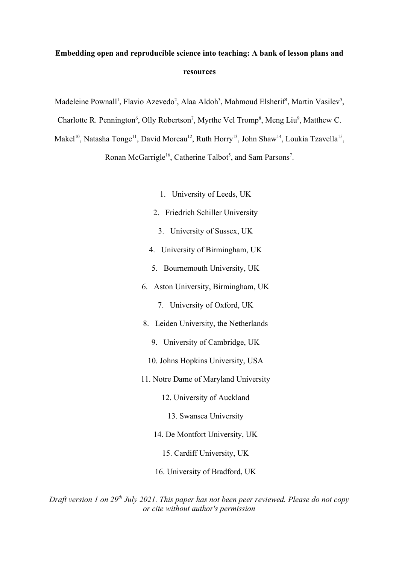# **Embedding open and reproducible science into teaching: A bank of lesson plans and resources**

Madeleine Pownall<sup>1</sup>, Flavio Azevedo<sup>2</sup>, Alaa Aldoh<sup>3</sup>, Mahmoud Elsherif<sup>4</sup>, Martin Vasilev<sup>5</sup>,

Charlotte R. Pennington<sup>6</sup>, Olly Robertson<sup>7</sup>, Myrthe Vel Tromp<sup>8</sup>, Meng Liu<sup>9</sup>, Matthew C.

Makel<sup>10</sup>, Natasha Tonge<sup>11</sup>, David Moreau<sup>12</sup>, Ruth Horry<sup>13</sup>, John Shaw<sup>14</sup>, Loukia Tzavella<sup>15</sup>,

Ronan McGarrigle<sup>16</sup>, Catherine Talbot<sup>5</sup>, and Sam Parsons<sup>7</sup>.

- 1. University of Leeds, UK
- 2. Friedrich Schiller University
- 3. University of Sussex, UK
- 4. University of Birmingham, UK
- 5. Bournemouth University, UK
- 6. Aston University, Birmingham, UK
	- 7. University of Oxford, UK
- 8. Leiden University, the Netherlands
	- 9. University of Cambridge, UK
	- 10. Johns Hopkins University, USA
- 11. Notre Dame of Maryland University
	- 12. University of Auckland
		- 13. Swansea University
	- 14. De Montfort University, UK
		- 15. Cardiff University, UK
	- 16. University of Bradford, UK

*Draft version 1 on 29th July 2021. This paper has not been peer reviewed. Please do not copy or cite without author's permission*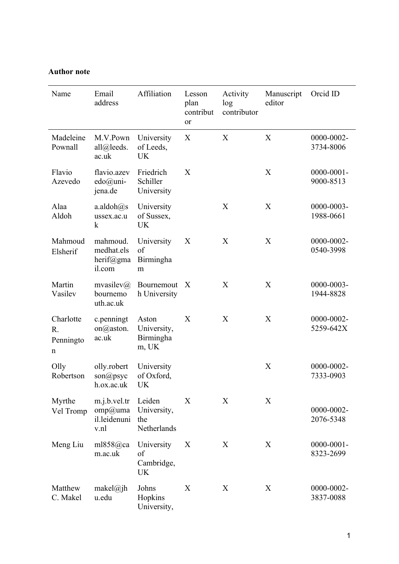## **Author note**

| Name                              | Email<br>address                                     | Affiliation                                 | Lesson<br>plan<br>contribut<br>or | Activity<br>log<br>contributor | Manuscript<br>editor | Orcid ID                     |
|-----------------------------------|------------------------------------------------------|---------------------------------------------|-----------------------------------|--------------------------------|----------------------|------------------------------|
| Madeleine<br>Pownall              | M.V.Pown<br>all@leads.<br>ac.uk                      | University<br>of Leeds,<br><b>UK</b>        | X                                 | X                              | X                    | 0000-0002-<br>3734-8006      |
| Flavio<br>Azevedo                 | flavio.azev<br>$edo@uni-$<br>jena.de                 | Friedrich<br>Schiller<br>University         | X                                 |                                | X                    | $0000 - 0001 -$<br>9000-8513 |
| Alaa<br>Aldoh                     | $a$ .aldoh $@s$<br>ussex.ac.u<br>$\mathbf k$         | University<br>of Sussex,<br><b>UK</b>       |                                   | X                              | X                    | 0000-0003-<br>1988-0661      |
| Mahmoud<br>Elsherif               | mahmoud.<br>medhat.els<br>herif $@gma$<br>il.com     | University<br>of<br>Birmingha<br>m          | X                                 | X                              | X                    | 0000-0002-<br>0540-3998      |
| Martin<br>Vasilev                 | mvasilev $\omega$<br>bournemo<br>uth.ac.uk           | Bournemout<br>h University                  | $\boldsymbol{X}$                  | X                              | X                    | 0000-0003-<br>1944-8828      |
| Charlotte<br>R.<br>Penningto<br>n | c.penningt<br>on $\omega$ aston.<br>ac.uk            | Aston<br>University,<br>Birmingha<br>m, UK  | X                                 | X                              | X                    | 0000-0002-<br>5259-642X      |
| Olly<br>Robertson                 | olly.robert<br>$son(\widehat{a})$ psyc<br>h.ox.ac.uk | University<br>of Oxford,<br><b>UK</b>       |                                   |                                | X                    | 0000-0002-<br>7333-0903      |
| Myrthe<br>Vel Tromp               | m.j.b.vel.tr<br>$omp(a)$ uma<br>il.leidenuni<br>v.nl | Leiden<br>University,<br>the<br>Netherlands | X                                 | X                              | X                    | 0000-0002-<br>2076-5348      |
| Meng Liu                          | ml $858$ @ca<br>m.ac.uk                              | University<br>of<br>Cambridge,<br>UK        | X                                 | X                              | X                    | $0000 - 0001 -$<br>8323-2699 |
| Matthew<br>C. Makel               | makel $\omega_i$ jh<br>u.edu                         | Johns<br>Hopkins<br>University,             | X                                 | X                              | X                    | 0000-0002-<br>3837-0088      |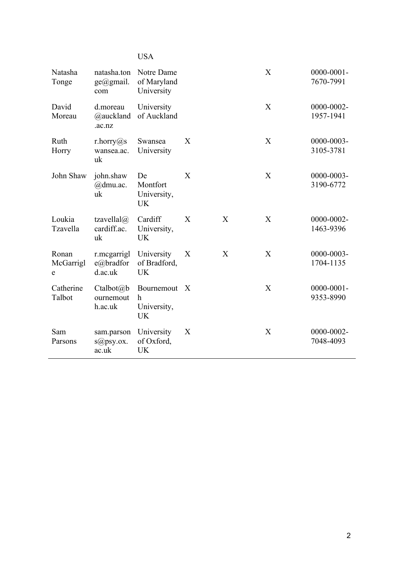|                         |                                                 | <b>USA</b>                                            |                  |              |   |                              |
|-------------------------|-------------------------------------------------|-------------------------------------------------------|------------------|--------------|---|------------------------------|
| Natasha<br>Tonge        | natasha.ton<br>$ge(\text{d})$ gmail.<br>com     | Notre Dame<br>of Maryland<br>University               |                  |              | X | $0000 - 0001 -$<br>7670-7991 |
| David<br>Moreau         | d.moreau<br>@auckland<br>.ac.nz                 | University<br>of Auckland                             |                  |              | X | 0000-0002-<br>1957-1941      |
| Ruth<br>Horry           | r.horry@s<br>wansea.ac.<br>uk                   | Swansea<br>University                                 | X                |              | X | 0000-0003-<br>3105-3781      |
| John Shaw               | john.shaw<br>$@$ dmu.ac.<br>uk                  | De<br>Montfort<br>University,<br><b>UK</b>            | X                |              | X | 0000-0003-<br>3190-6772      |
| Loukia<br>Tzavella      | tzavellal $\omega$<br>cardiff.ac.<br>uk         | Cardiff<br>University,<br><b>UK</b>                   | X                | $\mathbf{X}$ | X | 0000-0002-<br>1463-9396      |
| Ronan<br>McGarrigl<br>e | r.mcgarrigl<br>e@bradfor<br>d.ac.uk             | University<br>of Bradford,<br>UK                      | X                | X            | X | 0000-0003-<br>1704-1135      |
| Catherine<br>Talbot     | Ctalbot@b<br>ournemout<br>h.ac.uk               | Bournemout<br>$\mathbf h$<br>University,<br><b>UK</b> | $\boldsymbol{X}$ |              | X | $0000 - 0001 -$<br>9353-8990 |
| Sam<br>Parsons          | sam.parson<br>$s$ <i>a</i> $)$ psy.ox.<br>ac.uk | University<br>of Oxford,<br>UK                        | X                |              | X | 0000-0002-<br>7048-4093      |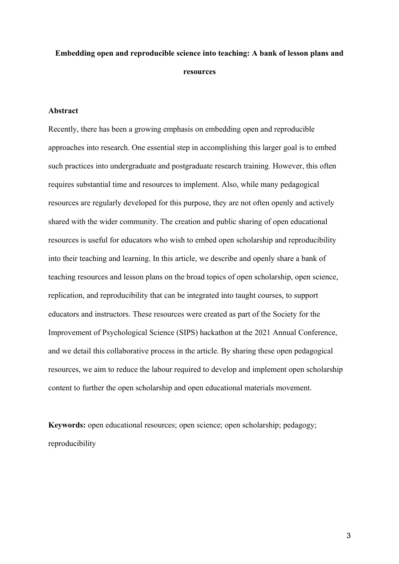# **Embedding open and reproducible science into teaching: A bank of lesson plans and resources**

#### **Abstract**

Recently, there has been a growing emphasis on embedding open and reproducible approaches into research. One essential step in accomplishing this larger goal is to embed such practices into undergraduate and postgraduate research training. However, this often requires substantial time and resources to implement. Also, while many pedagogical resources are regularly developed for this purpose, they are not often openly and actively shared with the wider community. The creation and public sharing of open educational resources is useful for educators who wish to embed open scholarship and reproducibility into their teaching and learning. In this article, we describe and openly share a bank of teaching resources and lesson plans on the broad topics of open scholarship, open science, replication, and reproducibility that can be integrated into taught courses, to support educators and instructors. These resources were created as part of the Society for the Improvement of Psychological Science (SIPS) hackathon at the 2021 Annual Conference, and we detail this collaborative process in the article. By sharing these open pedagogical resources, we aim to reduce the labour required to develop and implement open scholarship content to further the open scholarship and open educational materials movement.

**Keywords:** open educational resources; open science; open scholarship; pedagogy; reproducibility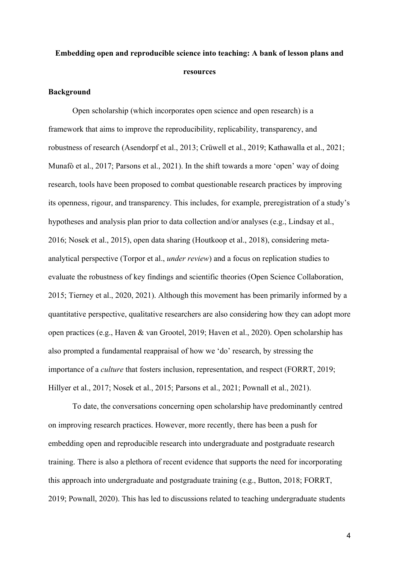# **Embedding open and reproducible science into teaching: A bank of lesson plans and resources**

### **Background**

Open scholarship (which incorporates open science and open research) is a framework that aims to improve the reproducibility, replicability, transparency, and robustness of research (Asendorpf et al., 2013; Crüwell et al., 2019; Kathawalla et al., 2021; Munafò et al., 2017; Parsons et al., 2021). In the shift towards a more 'open' way of doing research, tools have been proposed to combat questionable research practices by improving its openness, rigour, and transparency. This includes, for example, preregistration of a study's hypotheses and analysis plan prior to data collection and/or analyses (e.g., Lindsay et al., 2016; Nosek et al., 2015), open data sharing (Houtkoop et al., 2018), considering metaanalytical perspective (Torpor et al., *under review*) and a focus on replication studies to evaluate the robustness of key findings and scientific theories (Open Science Collaboration, 2015; Tierney et al., 2020, 2021). Although this movement has been primarily informed by a quantitative perspective, qualitative researchers are also considering how they can adopt more open practices (e.g., Haven & van Grootel, 2019; Haven et al., 2020). Open scholarship has also prompted a fundamental reappraisal of how we 'do' research, by stressing the importance of a *culture* that fosters inclusion, representation, and respect (FORRT, 2019; Hillyer et al., 2017; Nosek et al., 2015; Parsons et al., 2021; Pownall et al., 2021).

To date, the conversations concerning open scholarship have predominantly centred on improving research practices. However, more recently, there has been a push for embedding open and reproducible research into undergraduate and postgraduate research training. There is also a plethora of recent evidence that supports the need for incorporating this approach into undergraduate and postgraduate training (e.g., Button, 2018; FORRT, 2019; Pownall, 2020). This has led to discussions related to teaching undergraduate students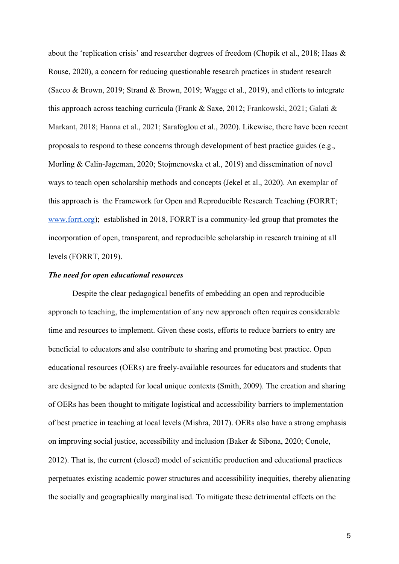about the 'replication crisis' and researcher degrees of freedom (Chopik et al., 2018; Haas & Rouse, 2020), a concern for reducing questionable research practices in student research (Sacco & Brown, 2019; Strand & Brown, 2019; Wagge et al., 2019), and efforts to integrate this approach across teaching curricula (Frank & Saxe, 2012; Frankowski, 2021; Galati & Markant, 2018; Hanna et al., 2021; Sarafoglou et al., 2020). Likewise, there have been recent proposals to respond to these concerns through development of best practice guides (e.g., Morling & Calin-Jageman, 2020; Stojmenovska et al., 2019) and dissemination of novel ways to teach open scholarship methods and concepts (Jekel et al., 2020). An exemplar of this approach is the Framework for Open and Reproducible Research Teaching (FORRT; [www.forrt.org](http://www.forrt.org/)); established in 2018, FORRT is a community-led group that promotes the incorporation of open, transparent, and reproducible scholarship in research training at all levels (FORRT, 2019).

### *The need for open educational resources*

Despite the clear pedagogical benefits of embedding an open and reproducible approach to teaching, the implementation of any new approach often requires considerable time and resources to implement. Given these costs, efforts to reduce barriers to entry are beneficial to educators and also contribute to sharing and promoting best practice. Open educational resources (OERs) are freely-available resources for educators and students that are designed to be adapted for local unique contexts (Smith, 2009). The creation and sharing of OERs has been thought to mitigate logistical and accessibility barriers to implementation of best practice in teaching at local levels (Mishra, 2017). OERs also have a strong emphasis on improving social justice, accessibility and inclusion (Baker & Sibona, 2020; Conole, 2012). That is, the current (closed) model of scientific production and educational practices perpetuates existing academic power structures and accessibility inequities, thereby alienating the socially and geographically marginalised. To mitigate these detrimental effects on the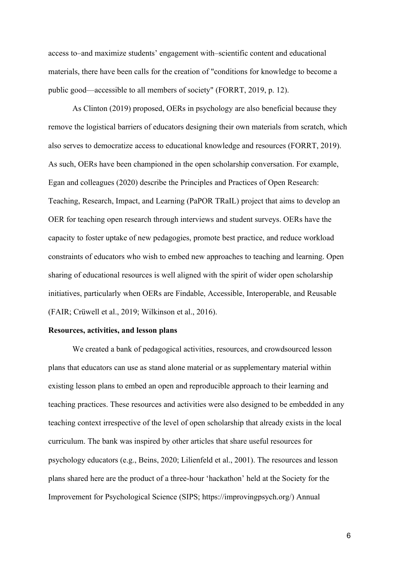access to–and maximize students' engagement with–scientific content and educational materials, there have been calls for the creation of "conditions for knowledge to become a public good—accessible to all members of society" (FORRT, 2019, p. 12).

As Clinton (2019) proposed, OERs in psychology are also beneficial because they remove the logistical barriers of educators designing their own materials from scratch, which also serves to democratize access to educational knowledge and resources (FORRT, 2019). As such, OERs have been championed in the open scholarship conversation. For example, Egan and colleagues (2020) describe the Principles and Practices of Open Research: Teaching, Research, Impact, and Learning (PaPOR TRaIL) project that aims to develop an OER for teaching open research through interviews and student surveys. OERs have the capacity to foster uptake of new pedagogies, promote best practice, and reduce workload constraints of educators who wish to embed new approaches to teaching and learning. Open sharing of educational resources is well aligned with the spirit of wider open scholarship initiatives, particularly when OERs are Findable, Accessible, Interoperable, and Reusable (FAIR; Crüwell et al., 2019; Wilkinson et al., 2016).

#### **Resources, activities, and lesson plans**

We created a bank of pedagogical activities, resources, and crowdsourced lesson plans that educators can use as stand alone material or as supplementary material within existing lesson plans to embed an open and reproducible approach to their learning and teaching practices. These resources and activities were also designed to be embedded in any teaching context irrespective of the level of open scholarship that already exists in the local curriculum. The bank was inspired by other articles that share useful resources for psychology educators (e.g., Beins, 2020; Lilienfeld et al., 2001). The resources and lesson plans shared here are the product of a three-hour 'hackathon' held at the Society for the Improvement for Psychological Science (SIPS; https://improvingpsych.org/) Annual

6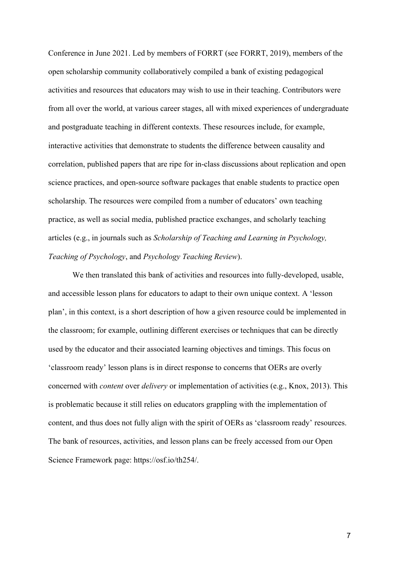Conference in June 2021. Led by members of FORRT (see FORRT, 2019), members of the open scholarship community collaboratively compiled a bank of existing pedagogical activities and resources that educators may wish to use in their teaching. Contributors were from all over the world, at various career stages, all with mixed experiences of undergraduate and postgraduate teaching in different contexts. These resources include, for example, interactive activities that demonstrate to students the difference between causality and correlation, published papers that are ripe for in-class discussions about replication and open science practices, and open-source software packages that enable students to practice open scholarship. The resources were compiled from a number of educators' own teaching practice, as well as social media, published practice exchanges, and scholarly teaching articles (e.g., in journals such as *Scholarship of Teaching and Learning in Psychology, Teaching of Psychology*, and *Psychology Teaching Review*).

We then translated this bank of activities and resources into fully-developed, usable, and accessible lesson plans for educators to adapt to their own unique context. A 'lesson plan', in this context, is a short description of how a given resource could be implemented in the classroom; for example, outlining different exercises or techniques that can be directly used by the educator and their associated learning objectives and timings. This focus on 'classroom ready' lesson plans is in direct response to concerns that OERs are overly concerned with *content* over *delivery* or implementation of activities (e.g., Knox, 2013). This is problematic because it still relies on educators grappling with the implementation of content, and thus does not fully align with the spirit of OERs as 'classroom ready' resources. The bank of resources, activities, and lesson plans can be freely accessed from our Open Science Framework page: https://osf.io/th254/.

7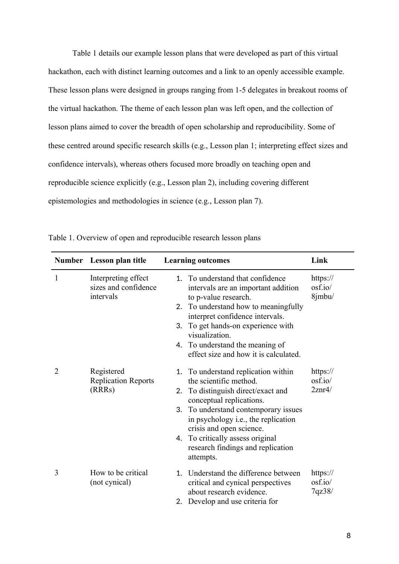Table 1 details our example lesson plans that were developed as part of this virtual hackathon, each with distinct learning outcomes and a link to an openly accessible example. These lesson plans were designed in groups ranging from 1-5 delegates in breakout rooms of the virtual hackathon. The theme of each lesson plan was left open, and the collection of lesson plans aimed to cover the breadth of open scholarship and reproducibility. Some of these centred around specific research skills (e.g., Lesson plan 1; interpreting effect sizes and confidence intervals), whereas others focused more broadly on teaching open and reproducible science explicitly (e.g., Lesson plan 2), including covering different epistemologies and methodologies in science (e.g., Lesson plan 7).

|   | Number Lesson plan title                                 | <b>Learning outcomes</b>                                                                                                                                                                                                                                                                                                                             | Link                          |  |
|---|----------------------------------------------------------|------------------------------------------------------------------------------------------------------------------------------------------------------------------------------------------------------------------------------------------------------------------------------------------------------------------------------------------------------|-------------------------------|--|
| 1 | Interpreting effect<br>sizes and confidence<br>intervals | 1. To understand that confidence<br>intervals are an important addition<br>to p-value research.<br>To understand how to meaningfully<br>2.<br>interpret confidence intervals.<br>To get hands-on experience with<br>3.<br>visualization.<br>4. To understand the meaning of<br>effect size and how it is calculated.                                 | https://<br>osf.io/<br>8jmbu/ |  |
| 2 | Registered<br><b>Replication Reports</b><br>(RRRs)       | To understand replication within<br>1.<br>the scientific method.<br>To distinguish direct/exact and<br>2.<br>conceptual replications.<br>To understand contemporary issues<br>3.<br>in psychology <i>i.e.</i> , the replication<br>crisis and open science.<br>To critically assess original<br>4.<br>research findings and replication<br>attempts. | https://<br>osf.io/<br>2znr4/ |  |
| 3 | How to be critical<br>(not cynical)                      | Understand the difference between<br>$1_{-}$<br>critical and cynical perspectives<br>about research evidence.<br>Develop and use criteria for<br>2.                                                                                                                                                                                                  | https://<br>osf.io/<br>7qz38/ |  |

Table 1. Overview of open and reproducible research lesson plans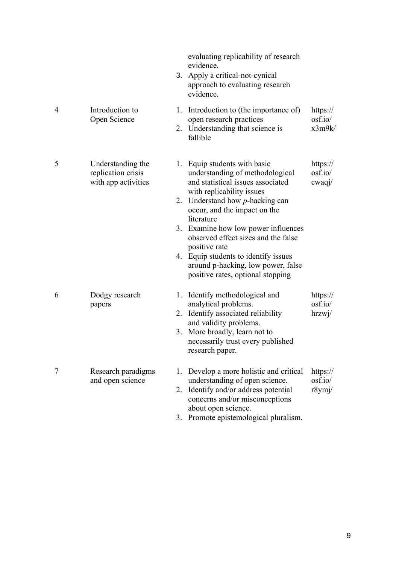|                |                                                                |          | evaluating replicability of research<br>evidence.<br>3. Apply a critical-not-cynical<br>approach to evaluating research<br>evidence.                                                                                                                                                                                                                                                                                                    |                               |
|----------------|----------------------------------------------------------------|----------|-----------------------------------------------------------------------------------------------------------------------------------------------------------------------------------------------------------------------------------------------------------------------------------------------------------------------------------------------------------------------------------------------------------------------------------------|-------------------------------|
| $\overline{4}$ | Introduction to<br>Open Science                                |          | 1. Introduction to (the importance of)<br>open research practices<br>2. Understanding that science is<br>fallible                                                                                                                                                                                                                                                                                                                       | https://<br>osf.io/<br>x3m9k/ |
| 5              | Understanding the<br>replication crisis<br>with app activities |          | 1. Equip students with basic<br>understanding of methodological<br>and statistical issues associated<br>with replicability issues<br>2. Understand how $p$ -hacking can<br>occur, and the impact on the<br>literature<br>3. Examine how low power influences<br>observed effect sizes and the false<br>positive rate<br>4. Equip students to identify issues<br>around p-hacking, low power, false<br>positive rates, optional stopping | https://<br>osf.io/<br>cwaqi/ |
| 6              | Dodgy research<br>papers                                       |          | 1. Identify methodological and<br>analytical problems.<br>2. Identify associated reliability<br>and validity problems.<br>3. More broadly, learn not to<br>necessarily trust every published<br>research paper.                                                                                                                                                                                                                         | https://<br>osf.io/<br>hrzwj/ |
| 7              | Research paradigms<br>and open science                         | 1.<br>3. | Develop a more holistic and critical<br>understanding of open science.<br>2. Identify and/or address potential<br>concerns and/or misconceptions<br>about open science.<br>Promote epistemological pluralism.                                                                                                                                                                                                                           | https://<br>osf.io/<br>r8ymj/ |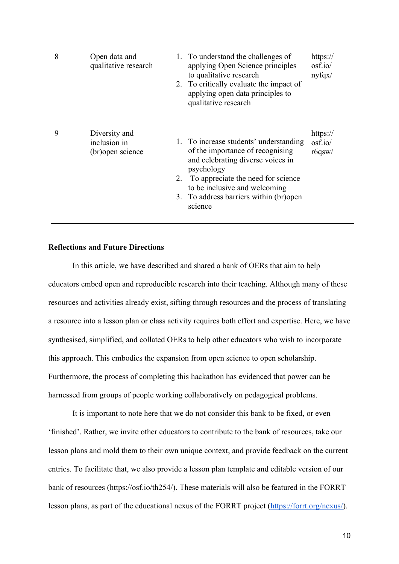| 8 | Open data and<br>qualitative research              | 1. To understand the challenges of<br>applying Open Science principles<br>to qualitative research<br>2. To critically evaluate the impact of<br>applying open data principles to<br>qualitative research                                                      | https://<br>osf.io/<br>nyfgx/ |
|---|----------------------------------------------------|---------------------------------------------------------------------------------------------------------------------------------------------------------------------------------------------------------------------------------------------------------------|-------------------------------|
| 9 | Diversity and<br>inclusion in<br>(br) open science | 1. To increase students' understanding<br>of the importance of recognising<br>and celebrating diverse voices in<br>psychology<br>2. To appreciate the need for science<br>to be inclusive and welcoming<br>3. To address barriers within (br) open<br>science | https://<br>osf.io/<br>r6qsw/ |

### **Reflections and Future Directions**

In this article, we have described and shared a bank of OERs that aim to help educators embed open and reproducible research into their teaching. Although many of these resources and activities already exist, sifting through resources and the process of translating a resource into a lesson plan or class activity requires both effort and expertise. Here, we have synthesised, simplified, and collated OERs to help other educators who wish to incorporate this approach. This embodies the expansion from open science to open scholarship. Furthermore, the process of completing this hackathon has evidenced that power can be harnessed from groups of people working collaboratively on pedagogical problems.

It is important to note here that we do not consider this bank to be fixed, or even 'finished'. Rather, we invite other educators to contribute to the bank of resources, take our lesson plans and mold them to their own unique context, and provide feedback on the current entries. To facilitate that, we also provide a lesson plan template and editable version of our bank of resources (https://osf.io/th254/). These materials will also be featured in the FORRT lesson plans, as part of the educational nexus of the FORRT project (<https://forrt.org/nexus/>).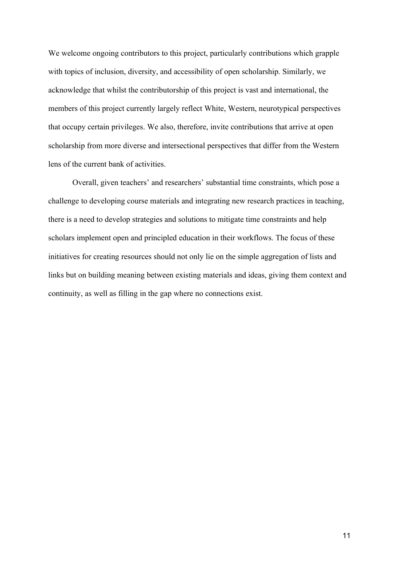We welcome ongoing contributors to this project, particularly contributions which grapple with topics of inclusion, diversity, and accessibility of open scholarship. Similarly, we acknowledge that whilst the contributorship of this project is vast and international, the members of this project currently largely reflect White, Western, neurotypical perspectives that occupy certain privileges. We also, therefore, invite contributions that arrive at open scholarship from more diverse and intersectional perspectives that differ from the Western lens of the current bank of activities.

Overall, given teachers' and researchers' substantial time constraints, which pose a challenge to developing course materials and integrating new research practices in teaching, there is a need to develop strategies and solutions to mitigate time constraints and help scholars implement open and principled education in their workflows. The focus of these initiatives for creating resources should not only lie on the simple aggregation of lists and links but on building meaning between existing materials and ideas, giving them context and continuity, as well as filling in the gap where no connections exist.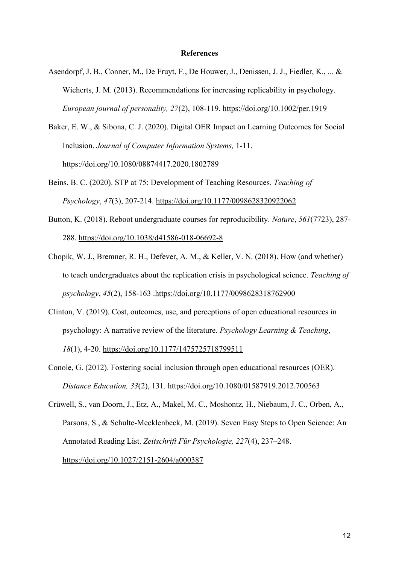#### **References**

- Asendorpf, J. B., Conner, M., De Fruyt, F., De Houwer, J., Denissen, J. J., Fiedler, K., ... & Wicherts, J. M. (2013). Recommendations for increasing replicability in psychology. *European journal of personality, 27*(2), 108-119.<https://doi.org/10.1002/per.1919>
- Baker, E. W., & Sibona, C. J. (2020). Digital OER Impact on Learning Outcomes for Social Inclusion. *Journal of Computer Information Systems,* 1-11. https://doi.org/10.1080/08874417.2020.1802789
- Beins, B. C. (2020). STP at 75: Development of Teaching Resources. *Teaching of Psychology*, *47*(3), 207-214. <https://doi.org/10.1177/0098628320922062>
- Button, K. (2018). Reboot undergraduate courses for reproducibility. *Nature*, *561*(7723), 287- 288.<https://doi.org/10.1038/d41586-018-06692-8>
- Chopik, W. J., Bremner, R. H., Defever, A. M., & Keller, V. N. (2018). How (and whether) to teach undergraduates about the replication crisis in psychological science. *Teaching of psychology*, *45*(2), 158-163 [.https://doi.org/10.1177/0098628318762900](https://doi.org/10.1177/0098628318762900)
- Clinton, V. (2019). Cost, outcomes, use, and perceptions of open educational resources in psychology: A narrative review of the literature. *Psychology Learning & Teaching*, *18*(1), 4-20. [https://doi.org/10.1177/1475725718799511](https://doi.org/10.1177%2F1475725718799511)
- Conole, G. (2012). Fostering social inclusion through open educational resources (OER). *Distance Education, 33*(2), 131. https://doi.org/10.1080/01587919.2012.700563
- Crüwell, S., van Doorn, J., Etz, A., Makel, M. C., Moshontz, H., Niebaum, J. C., Orben, A., Parsons, S., & Schulte-Mecklenbeck, M. (2019). Seven Easy Steps to Open Science: An Annotated Reading List. *Zeitschrift Für Psychologie, 227*(4), 237–248. <https://doi.org/10.1027/2151-2604/a000387>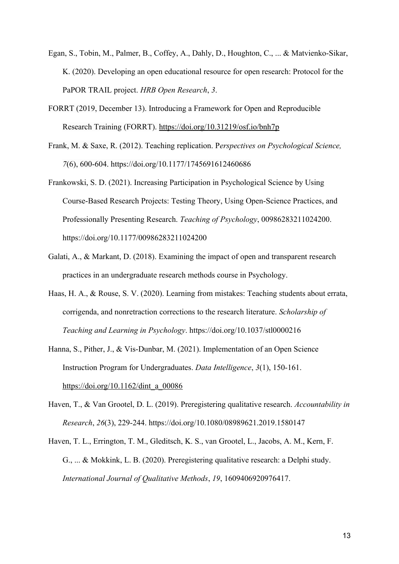- Egan, S., Tobin, M., Palmer, B., Coffey, A., Dahly, D., Houghton, C., ... & Matvienko-Sikar, K. (2020). Developing an open educational resource for open research: Protocol for the PaPOR TRAIL project. *HRB Open Research*, *3*.
- FORRT (2019, December 13). Introducing a Framework for Open and Reproducible Research Training (FORRT).<https://doi.org/10.31219/osf.io/bnh7p>
- Frank, M. & Saxe, R. (2012). Teaching replication. P*erspectives on Psychological Science, 7*(6), 600-604. [https://doi.org/10.1177/1745691612460686](https://doi.org/10.1177%2F1745691612460686)
- Frankowski, S. D. (2021). Increasing Participation in Psychological Science by Using Course-Based Research Projects: Testing Theory, Using Open-Science Practices, and Professionally Presenting Research. *Teaching of Psychology*, 00986283211024200. https://doi.org/10.1177/00986283211024200
- Galati, A., & Markant, D. (2018). Examining the impact of open and transparent research practices in an undergraduate research methods course in Psychology.
- Haas, H. A., & Rouse, S. V. (2020). Learning from mistakes: Teaching students about errata, corrigenda, and nonretraction corrections to the research literature. *Scholarship of Teaching and Learning in Psychology*. https://doi.org/10.1037/stl0000216
- Hanna, S., Pither, J., & Vis-Dunbar, M. (2021). Implementation of an Open Science Instruction Program for Undergraduates. *Data Intelligence*, *3*(1), 150-161. [https://doi.org/10.1162/dint\\_a\\_00086](https://doi.org/10.1162/dint_a_00086)
- Haven, T., & Van Grootel, D. L. (2019). Preregistering qualitative research. *Accountability in Research*, *26*(3), 229-244. <https://doi.org/10.1080/08989621.2019.1580147>
- Haven, T. L., Errington, T. M., Gleditsch, K. S., van Grootel, L., Jacobs, A. M., Kern, F. G., ... & Mokkink, L. B. (2020). Preregistering qualitative research: a Delphi study. *International Journal of Qualitative Methods*, *19*, 1609406920976417.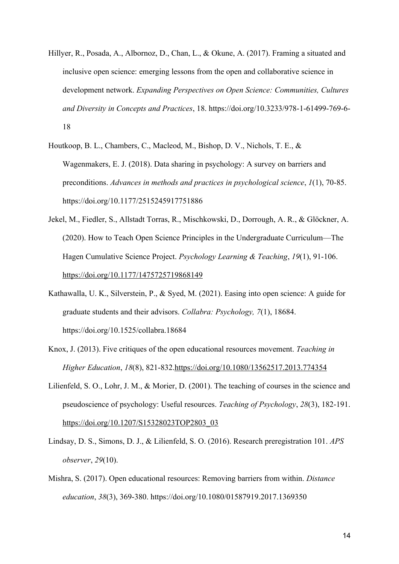- Hillyer, R., Posada, A., Albornoz, D., Chan, L., & Okune, A. (2017). Framing a situated and inclusive open science: emerging lessons from the open and collaborative science in development network. *Expanding Perspectives on Open Science: Communities, Cultures and Diversity in Concepts and Practices*, 18. https://doi.org/10.3233/978-1-61499-769-6- 18
- Houtkoop, B. L., Chambers, C., Macleod, M., Bishop, D. V., Nichols, T. E., & Wagenmakers, E. J. (2018). Data sharing in psychology: A survey on barriers and preconditions. *Advances in methods and practices in psychological science*, *1*(1), 70-85. https://doi.org/10.1177/2515245917751886
- Jekel, M., Fiedler, S., Allstadt Torras, R., Mischkowski, D., Dorrough, A. R., & Glöckner, A. (2020). How to Teach Open Science Principles in the Undergraduate Curriculum—The Hagen Cumulative Science Project. *Psychology Learning & Teaching*, *19*(1), 91-106. <https://doi.org/10.1177/1475725719868149>
- Kathawalla, U. K., Silverstein, P., & Syed, M. (2021). Easing into open science: A guide for graduate students and their advisors. *Collabra: Psychology, 7*(1), 18684. https://doi.org/10.1525/collabra.18684
- Knox, J. (2013). Five critiques of the open educational resources movement. *Teaching in Higher Education*, *18*(8), 821-832.<https://doi.org/10.1080/13562517.2013.774354>
- Lilienfeld, S. O., Lohr, J. M., & Morier, D. (2001). The teaching of courses in the science and pseudoscience of psychology: Useful resources. *Teaching of Psychology*, *28*(3), 182-191. [https://doi.org/10.1207/S15328023TOP2803\\_03](https://doi.org/10.1207/S15328023TOP2803_03)
- Lindsay, D. S., Simons, D. J., & Lilienfeld, S. O. (2016). Research preregistration 101. *APS observer*, *29*(10).
- Mishra, S. (2017). Open educational resources: Removing barriers from within. *Distance education*, *38*(3), 369-380. <https://doi.org/10.1080/01587919.2017.1369350>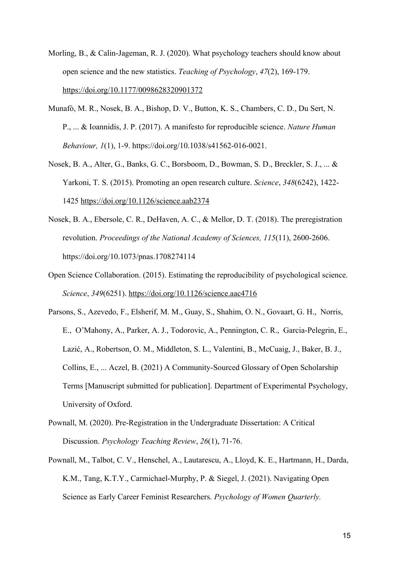- Morling, B., & Calin-Jageman, R. J. (2020). What psychology teachers should know about open science and the new statistics. *Teaching of Psychology*, *47*(2), 169-179. <https://doi.org/10.1177/0098628320901372>
- Munafò, M. R., Nosek, B. A., Bishop, D. V., Button, K. S., Chambers, C. D., Du Sert, N. P., ... & Ioannidis, J. P. (2017). A manifesto for reproducible science. *Nature Human Behaviour, 1*(1), 1-9. https://doi.org/10.1038/s41562-016-0021.
- Nosek, B. A., Alter, G., Banks, G. C., Borsboom, D., Bowman, S. D., Breckler, S. J., ... & Yarkoni, T. S. (2015). Promoting an open research culture. *Science*, *348*(6242), 1422- 1425<https://doi.org/10.1126/science.aab2374>
- Nosek, B. A., Ebersole, C. R., DeHaven, A. C., & Mellor, D. T. (2018). The preregistration revolution. *Proceedings of the National Academy of Sciences, 115*(11), 2600-2606. https://doi.org/10.1073/pnas.1708274114
- Open Science Collaboration. (2015). Estimating the reproducibility of psychological science. *Science*, *349*(6251). <https://doi.org/10.1126/science.aac4716>
- Parsons, S., Azevedo, F., Elsherif, M. M., Guay, S., Shahim, O. N., Govaart, G. H., Norris, E., O'Mahony, A., Parker, A. J., Todorovic, A., Pennington, C. R., Garcia-Pelegrin, E., Lazić, A., Robertson, O. M., Middleton, S. L., Valentini, B., McCuaig, J., Baker, B. J., Collins, E., ... Aczel, B. (2021) A Community-Sourced Glossary of Open Scholarship Terms [Manuscript submitted for publication]. Department of Experimental Psychology, University of Oxford.
- Pownall, M. (2020). Pre-Registration in the Undergraduate Dissertation: A Critical Discussion. *Psychology Teaching Review*, *26*(1), 71-76.
- Pownall, M., Talbot, C. V., Henschel, A., Lautarescu, A., Lloyd, K. E., Hartmann, H., Darda, K.M., Tang, K.T.Y., Carmichael-Murphy, P. & Siegel, J. (2021). Navigating Open Science as Early Career Feminist Researchers. *Psychology of Women Quarterly.*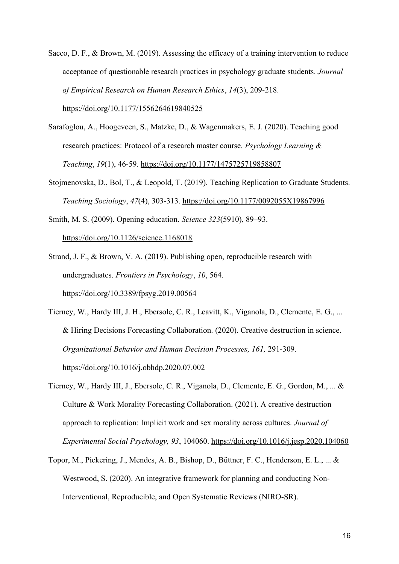- Sacco, D. F., & Brown, M. (2019). Assessing the efficacy of a training intervention to reduce acceptance of questionable research practices in psychology graduate students. *Journal of Empirical Research on Human Research Ethics*, *14*(3), 209-218. <https://doi.org/10.1177/1556264619840525>
- Sarafoglou, A., Hoogeveen, S., Matzke, D., & Wagenmakers, E. J. (2020). Teaching good research practices: Protocol of a research master course. *Psychology Learning & Teaching*, *19*(1), 46-59. <https://doi.org/10.1177/1475725719858807>
- Stojmenovska, D., Bol, T., & Leopold, T. (2019). Teaching Replication to Graduate Students. *Teaching Sociology*, *47*(4), 303-313. <https://doi.org/10.1177/0092055X19867996>
- Smith, M. S. (2009). Opening education. *Science 323*(5910), 89–93. <https://doi.org/10.1126/science.1168018>
- Strand, J. F., & Brown, V. A. (2019). Publishing open, reproducible research with undergraduates. *Frontiers in Psychology*, *10*, 564. https://doi.org/10.3389/fpsyg.2019.00564
- Tierney, W., Hardy III, J. H., Ebersole, C. R., Leavitt, K., Viganola, D., Clemente, E. G., ... & Hiring Decisions Forecasting Collaboration. (2020). Creative destruction in science. *Organizational Behavior and Human Decision Processes, 161,* 291-309. <https://doi.org/10.1016/j.obhdp.2020.07.002>
- Tierney, W., Hardy III, J., Ebersole, C. R., Viganola, D., Clemente, E. G., Gordon, M., ... & Culture & Work Morality Forecasting Collaboration. (2021). A creative destruction approach to replication: Implicit work and sex morality across cultures. *Journal of Experimental Social Psychology, 93*, 104060.<https://doi.org/10.1016/j.jesp.2020.104060>
- Topor, M., Pickering, J., Mendes, A. B., Bishop, D., Büttner, F. C., Henderson, E. L., ... & Westwood, S. (2020). An integrative framework for planning and conducting Non-Interventional, Reproducible, and Open Systematic Reviews (NIRO-SR).